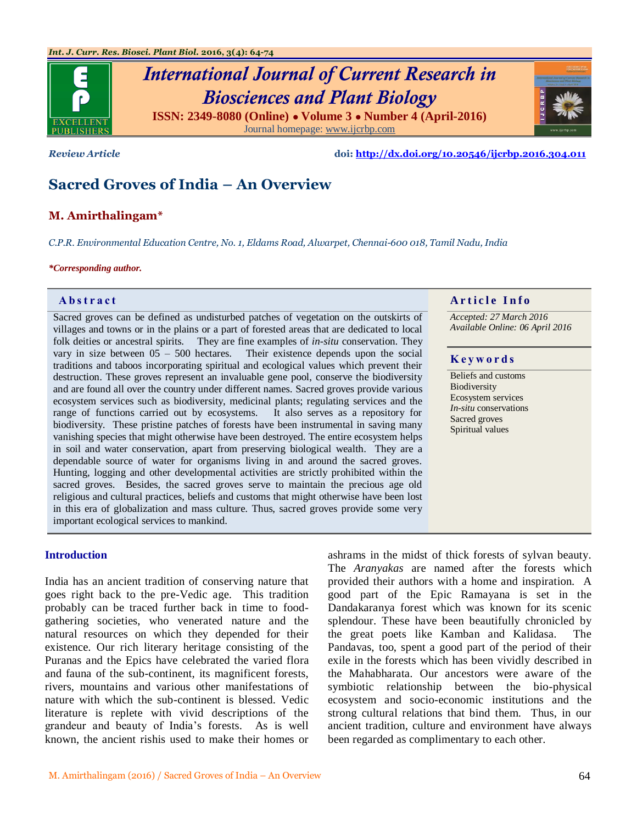

*Review Article* **doi:<http://dx.doi.org/10.20546/ijcrbp.2016.304.011>**

# **Sacred Groves of India – An Overview**

# **M. Amirthalingam\***

*C.P.R. Environmental Education Centre, No. 1, Eldams Road, Alwarpet, Chennai-600 018, Tamil Nadu, India*

#### *\*Corresponding author.*

Sacred groves can be defined as undisturbed patches of vegetation on the outskirts of villages and towns or in the plains or a part of forested areas that are dedicated to local folk deities or ancestral spirits. They are fine examples of *in-situ* conservation. They vary in size between  $05 - 500$  hectares. Their existence depends upon the social traditions and taboos incorporating spiritual and ecological values which prevent their destruction. These groves represent an invaluable gene pool, conserve the biodiversity and are found all over the country under different names. Sacred groves provide various ecosystem services such as biodiversity, medicinal plants; regulating services and the range of functions carried out by ecosystems. It also serves as a repository for biodiversity. These pristine patches of forests have been instrumental in saving many vanishing species that might otherwise have been destroyed. The entire ecosystem helps in soil and water conservation, apart from preserving biological wealth. They are a dependable source of water for organisms living in and around the sacred groves. Hunting, logging and other developmental activities are strictly prohibited within the sacred groves. Besides, the sacred groves serve to maintain the precious age old religious and cultural practices, beliefs and customs that might otherwise have been lost in this era of globalization and mass culture. Thus, sacred groves provide some very important ecological services to mankind.

# **Abstract A A A A A A** *A* **<b>A** *A A A A A A A A A A A A A A A A A*

*Accepted: 27 March 2016 Available Online: 06 April 2016*

#### **K e y w o r d s**

Beliefs and customs Biodiversity Ecosystem services *In-situ* conservations Sacred groves Spiritual values

# **Introduction**

India has an ancient tradition of conserving nature that goes right back to the pre-Vedic age. This tradition probably can be traced further back in time to foodgathering societies, who venerated nature and the natural resources on which they depended for their existence. Our rich literary heritage consisting of the Puranas and the Epics have celebrated the varied flora and fauna of the sub-continent, its magnificent forests, rivers, mountains and various other manifestations of nature with which the sub-continent is blessed. Vedic literature is replete with vivid descriptions of the grandeur and beauty of India"s forests. As is well known, the ancient rishis used to make their homes or

ashrams in the midst of thick forests of sylvan beauty. The *Aranyakas* are named after the forests which provided their authors with a home and inspiration. A good part of the Epic Ramayana is set in the Dandakaranya forest which was known for its scenic splendour. These have been beautifully chronicled by the great poets like Kamban and Kalidasa. The Pandavas, too, spent a good part of the period of their exile in the forests which has been vividly described in the Mahabharata. Our ancestors were aware of the symbiotic relationship between the bio-physical ecosystem and socio-economic institutions and the strong cultural relations that bind them. Thus, in our ancient tradition, culture and environment have always been regarded as complimentary to each other.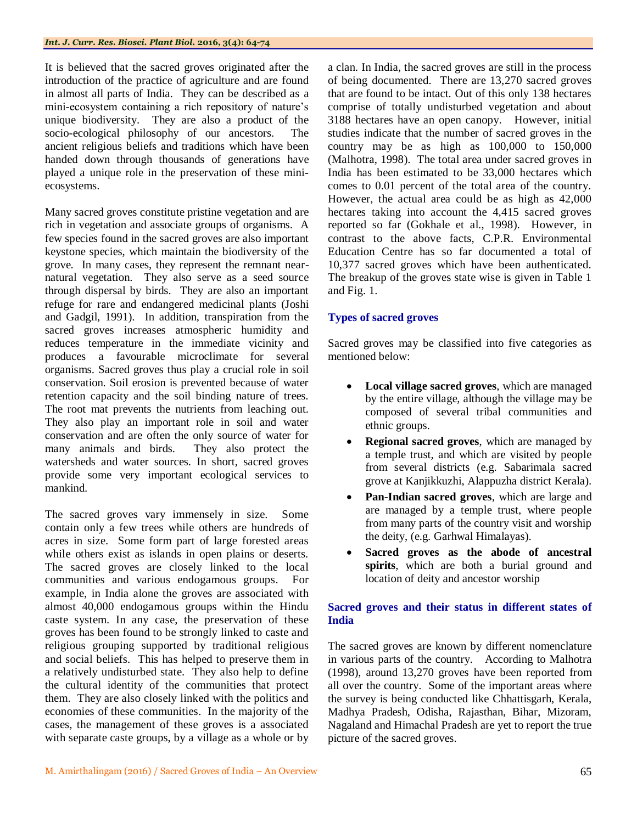It is believed that the sacred groves originated after the introduction of the practice of agriculture and are found in almost all parts of India. They can be described as a mini-ecosystem containing a rich repository of nature"s unique biodiversity. They are also a product of the socio-ecological philosophy of our ancestors. The ancient religious beliefs and traditions which have been handed down through thousands of generations have played a unique role in the preservation of these miniecosystems.

Many sacred groves constitute pristine vegetation and are rich in vegetation and associate groups of organisms. A few species found in the sacred groves are also important keystone species, which maintain the biodiversity of the grove. In many cases, they represent the remnant nearnatural vegetation. They also serve as a seed source through dispersal by birds. They are also an important refuge for rare and endangered medicinal plants (Joshi and Gadgil, 1991). In addition, transpiration from the sacred groves increases atmospheric humidity and reduces temperature in the immediate vicinity and produces a favourable microclimate for several organisms. Sacred groves thus play a crucial role in soil conservation. Soil erosion is prevented because of water retention capacity and the soil binding nature of trees. The root mat prevents the nutrients from leaching out. They also play an important role in soil and water conservation and are often the only source of water for many animals and birds. They also protect the watersheds and water sources. In short, sacred groves provide some very important ecological services to mankind.

The sacred groves vary immensely in size. Some contain only a few trees while others are hundreds of acres in size. Some form part of large forested areas while others exist as islands in open plains or deserts. The sacred groves are closely linked to the local communities and various endogamous groups. For example, in India alone the groves are associated with almost 40,000 endogamous groups within the Hindu caste system. In any case, the preservation of these groves has been found to be strongly linked to caste and religious grouping supported by traditional religious and social beliefs. This has helped to preserve them in a relatively undisturbed state. They also help to define the cultural identity of the communities that protect them. They are also closely linked with the politics and economies of these communities. In the majority of the cases, the management of these groves is a associated with separate caste groups, by a village as a whole or by

a clan. In India, the sacred groves are still in the process of being documented. There are 13,270 sacred groves that are found to be intact. Out of this only 138 hectares comprise of totally undisturbed vegetation and about 3188 hectares have an open canopy. However, initial studies indicate that the number of sacred groves in the country may be as high as 100,000 to 150,000 (Malhotra, 1998). The total area under sacred groves in India has been estimated to be 33,000 hectares which comes to 0.01 percent of the total area of the country. However, the actual area could be as high as 42,000 hectares taking into account the 4,415 sacred groves reported so far (Gokhale et al., 1998). However, in contrast to the above facts, C.P.R. Environmental Education Centre has so far documented a total of 10,377 sacred groves which have been authenticated. The breakup of the groves state wise is given in Table 1 and Fig. 1.

# **Types of sacred groves**

Sacred groves may be classified into five categories as mentioned below:

- **Local village sacred groves**, which are managed by the entire village, although the village may be composed of several tribal communities and ethnic groups.
- **Regional sacred groves**, which are managed by a temple trust, and which are visited by people from several districts (e.g. Sabarimala sacred grove at Kanjikkuzhi, Alappuzha district Kerala).
- **Pan-Indian sacred groves**, which are large and are managed by a temple trust, where people from many parts of the country visit and worship the deity, (e.g. Garhwal Himalayas).
- **Sacred groves as the abode of ancestral spirits**, which are both a burial ground and location of deity and ancestor worship

# **Sacred groves and their status in different states of India**

The sacred groves are known by different nomenclature in various parts of the country. According to Malhotra (1998), around 13,270 groves have been reported from all over the country. Some of the important areas where the survey is being conducted like Chhattisgarh, Kerala, Madhya Pradesh, Odisha, Rajasthan, Bihar, Mizoram, Nagaland and Himachal Pradesh are yet to report the true picture of the sacred groves.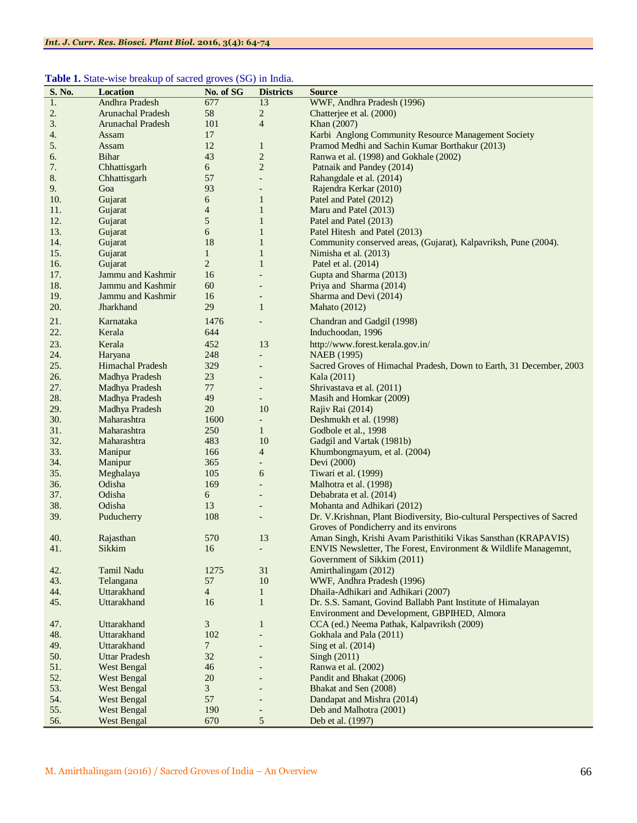#### Table 1. State-wise breakup of sacred groves (SG) in India.

| S. No. | Location                 | No. of SG       | <b>Districts</b>         | <b>Source</b>                                                           |
|--------|--------------------------|-----------------|--------------------------|-------------------------------------------------------------------------|
| 1.     | Andhra Pradesh           | 677             | 13                       | WWF, Andhra Pradesh (1996)                                              |
| 2.     | <b>Arunachal Pradesh</b> | 58              | $\overline{c}$           | Chatterjee et al. (2000)                                                |
| 3.     | <b>Arunachal Pradesh</b> | 101             | $\overline{4}$           | Khan (2007)                                                             |
| 4.     | Assam                    | 17              |                          | Karbi Anglong Community Resource Management Society                     |
| 5.     | Assam                    | 12              | $\mathbf{1}$             | Pramod Medhi and Sachin Kumar Borthakur (2013)                          |
| 6.     | Bihar                    | 43              | $\mathbf{2}$             | Ranwa et al. (1998) and Gokhale (2002)                                  |
| 7.     | Chhattisgarh             | 6               | $\mathbf{2}$             | Patnaik and Pandey (2014)                                               |
| 8.     | Chhattisgarh             | 57              | $\overline{a}$           | Rahangdale et al. (2014)                                                |
| 9.     | Goa                      | 93              | $\overline{a}$           | Rajendra Kerkar (2010)                                                  |
| 10.    | Gujarat                  | 6               | $\mathbf{1}$             | Patel and Patel (2012)                                                  |
| 11.    | Gujarat                  | 4               | $\mathbf{1}$             | Maru and Patel (2013)                                                   |
|        |                          |                 |                          | Patel and Patel (2013)                                                  |
| 12.    | Gujarat                  | 5               | $\mathbf{1}$             |                                                                         |
| 13.    | Gujarat                  | 6               | $\mathbf{1}$             | Patel Hitesh and Patel (2013)                                           |
| 14.    | Gujarat                  | 18              | $\mathbf{1}$             | Community conserved areas, (Gujarat), Kalpavriksh, Pune (2004).         |
| 15.    | Gujarat                  | $\mathbf{1}$    | $\mathbf{1}$             | Nimisha et al. (2013)                                                   |
| 16.    | Gujarat                  | $\overline{c}$  | $\mathbf{1}$             | Patel et al. (2014)                                                     |
| 17.    | Jammu and Kashmir        | 16              | $\overline{a}$           | Gupta and Sharma (2013)                                                 |
| 18.    | Jammu and Kashmir        | 60              | $\overline{\phantom{a}}$ | Priya and Sharma (2014)                                                 |
| 19.    | Jammu and Kashmir        | 16              | $\overline{\phantom{a}}$ | Sharma and Devi (2014)                                                  |
| 20.    | Jharkhand                | 29              | $\mathbf{1}$             | Mahato (2012)                                                           |
| 21.    | Karnataka                | 1476            | $\overline{\phantom{a}}$ | Chandran and Gadgil (1998)                                              |
| 22.    | Kerala                   | 644             |                          | Induchoodan, 1996                                                       |
| 23.    | Kerala                   | 452             | 13                       | http://www.forest.kerala.gov.in/                                        |
| 24.    | Haryana                  | 248             | $\overline{\phantom{a}}$ | NAEB (1995)                                                             |
| 25.    | Himachal Pradesh         | 329             | $\overline{\phantom{a}}$ | Sacred Groves of Himachal Pradesh, Down to Earth, 31 December, 2003     |
| 26.    | Madhya Pradesh           | 23              |                          | Kala (2011)                                                             |
| 27.    | Madhya Pradesh           | 77              | $\overline{\phantom{a}}$ | Shrivastava et al. (2011)                                               |
| 28.    | Madhya Pradesh           | 49              | $\qquad \qquad -$        | Masih and Homkar (2009)                                                 |
| 29.    | Madhya Pradesh           | 20              | 10                       | Rajiv Rai (2014)                                                        |
| 30.    | Maharashtra              | 1600            | $\blacksquare$           | Deshmukh et al. (1998)                                                  |
| 31.    | Maharashtra              | 250             | $\mathbf{1}$             | Godbole et al., 1998                                                    |
| 32.    | Maharashtra              | 483             | 10                       | Gadgil and Vartak (1981b)                                               |
| 33.    | Manipur                  | 166             | 4                        | Khumbongmayum, et al. (2004)                                            |
| 34.    | Manipur                  | 365             | $\overline{\phantom{a}}$ | Devi (2000)                                                             |
| 35.    | Meghalaya                | 105             | 6                        | Tiwari et al. (1999)                                                    |
| 36.    | Odisha                   | 169             | $\overline{\phantom{a}}$ | Malhotra et al. (1998)                                                  |
| 37.    | Odisha                   | 6               | $\overline{\phantom{a}}$ | Debabrata et al. (2014)                                                 |
|        |                          |                 |                          |                                                                         |
| 38.    | Odisha                   | 13              |                          | Mohanta and Adhikari (2012)                                             |
| 39.    | Puducherry               | 108             | $\overline{\phantom{a}}$ | Dr. V.Krishnan, Plant Biodiversity, Bio-cultural Perspectives of Sacred |
|        |                          |                 |                          | Groves of Pondicherry and its environs                                  |
| 40.    | Rajasthan                | 570             | 13                       | Aman Singh, Krishi Avam Paristhitiki Vikas Sansthan (KRAPAVIS)          |
| 41.    | Sikkim                   | 16              |                          | ENVIS Newsletter, The Forest, Environment & Wildlife Managemnt,         |
|        |                          |                 |                          | Government of Sikkim (2011)                                             |
| 42.    | Tamil Nadu               | 1275            | 31                       | Amirthalingam (2012)                                                    |
| 43.    | Telangana                | 57              | $10\,$                   | WWF, Andhra Pradesh (1996)                                              |
| 44.    | Uttarakhand              | $\overline{4}$  | $\mathbf{1}$             | Dhaila-Adhikari and Adhikari (2007)                                     |
| 45.    | Uttarakhand              | 16              | $\mathbf{1}$             | Dr. S.S. Samant, Govind Ballabh Pant Institute of Himalayan             |
|        |                          |                 |                          | Environment and Development, GBPIHED, Almora                            |
| 47.    | Uttarakhand              | 3               | $\mathbf{1}$             | CCA (ed.) Neema Pathak, Kalpavriksh (2009)                              |
| 48.    | Uttarakhand              | 102             | $\overline{a}$           | Gokhala and Pala (2011)                                                 |
| 49.    | Uttarakhand              | $7\phantom{.0}$ |                          | Sing et al. (2014)                                                      |
| 50.    | <b>Uttar Pradesh</b>     | 32              |                          | Singh $(2011)$                                                          |
| 51.    | <b>West Bengal</b>       | 46              |                          | Ranwa et al. (2002)                                                     |
| 52.    | <b>West Bengal</b>       | 20              |                          | Pandit and Bhakat (2006)                                                |
| 53.    | <b>West Bengal</b>       | $\mathfrak{Z}$  |                          | Bhakat and Sen (2008)                                                   |
| 54.    | <b>West Bengal</b>       | 57              |                          | Dandapat and Mishra (2014)                                              |
| 55.    | West Bengal              | 190             |                          | Deb and Malhotra (2001)                                                 |
| 56.    | <b>West Bengal</b>       | 670             | 5                        | Deb et al. (1997)                                                       |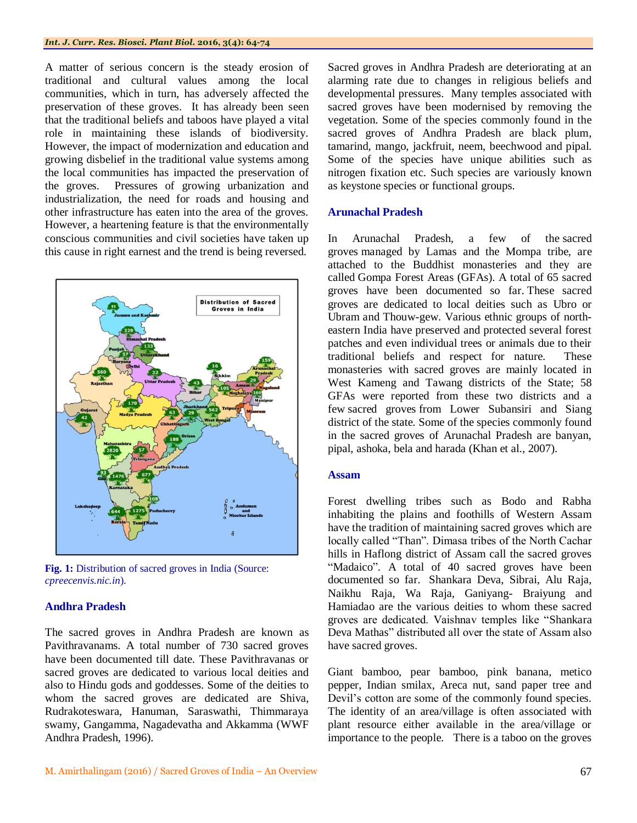A matter of serious concern is the steady erosion of traditional and cultural values among the local communities, which in turn, has adversely affected the preservation of these groves. It has already been seen that the traditional beliefs and taboos have played a vital role in maintaining these islands of biodiversity. However, the impact of modernization and education and growing disbelief in the traditional value systems among the local communities has impacted the preservation of the groves. Pressures of growing urbanization and industrialization, the need for roads and housing and other infrastructure has eaten into the area of the groves. However, a heartening feature is that the environmentally conscious communities and civil societies have taken up this cause in right earnest and the trend is being reversed.



Fig. 1: Distribution of sacred groves in India (Source: *cpreecenvis.nic.in*).

#### **Andhra Pradesh**

The sacred groves in Andhra Pradesh are known as Pavithravanams. A total number of 730 sacred groves have been documented till date. These Pavithravanas or sacred groves are dedicated to various local deities and also to Hindu gods and goddesses. Some of the deities to whom the sacred groves are dedicated are Shiva, Rudrakoteswara, Hanuman, Saraswathi, Thimmaraya swamy, Gangamma, Nagadevatha and Akkamma (WWF Andhra Pradesh, 1996).

Sacred groves in Andhra Pradesh are deteriorating at an alarming rate due to changes in religious beliefs and developmental pressures. Many temples associated with sacred groves have been modernised by removing the vegetation. Some of the species commonly found in the sacred groves of Andhra Pradesh are black plum*,*  tamarind*,* mango, jackfruit, neem, beechwood and pipal*.*  Some of the species have unique abilities such as nitrogen fixation etc. Such species are variously known as keystone species or functional groups.

#### **Arunachal Pradesh**

In Arunachal Pradesh, a few of the sacred groves managed by Lamas and the Mompa tribe, are attached to the Buddhist monasteries and they are called Gompa Forest Areas (GFAs). A total of 65 sacred groves have been documented so far. These sacred groves are dedicated to local deities such as Ubro or Ubram and Thouw-gew. Various ethnic groups of northeastern India have preserved and protected several forest patches and even individual trees or animals due to their traditional beliefs and respect for nature. These monasteries with sacred groves are mainly located in West Kameng and Tawang districts of the State; 58 GFAs were reported from these two districts and a few sacred groves from Lower Subansiri and Siang district of the state. Some of the species commonly found in the sacred groves of Arunachal Pradesh are banyan, pipal, ashoka, bela and harada (Khan et al., 2007).

#### **Assam**

Forest dwelling tribes such as Bodo and Rabha inhabiting the plains and foothills of Western Assam have the tradition of maintaining sacred groves which are locally called "Than". Dimasa tribes of the North Cachar hills in Haflong district of Assam call the sacred groves "Madaico". A total of 40 sacred groves have been documented so far. Shankara Deva, Sibrai, Alu Raja, Naikhu Raja, Wa Raja, Ganiyang- Braiyung and Hamiadao are the various deities to whom these sacred groves are dedicated. Vaishnav temples like "Shankara Deva Mathas" distributed all over the state of Assam also have sacred groves.

Giant bamboo, pear bamboo, pink banana, metico pepper, Indian smilax, Areca nut, sand paper tree and Devil"s cotton are some of the commonly found species. The identity of an area/village is often associated with plant resource either available in the area/village or importance to the people. There is a taboo on the groves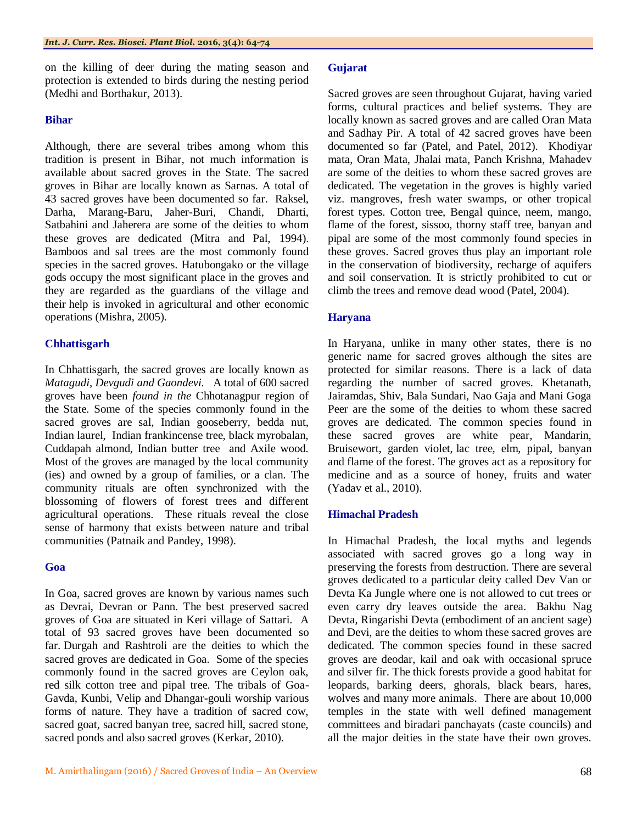on the killing of deer during the mating season and protection is extended to birds during the nesting period (Medhi and Borthakur, 2013).

#### **Bihar**

Although, there are several tribes among whom this tradition is present in Bihar, not much information is available about sacred groves in the State. The sacred groves in Bihar are locally known as Sarnas. A total of 43 sacred groves have been documented so far. Raksel, Darha, Marang-Baru, Jaher-Buri, Chandi, Dharti, Satbahini and Jaherera are some of the deities to whom these groves are dedicated (Mitra and Pal, 1994). Bamboos and sal trees are the most commonly found species in the sacred groves. Hatubongako or the village gods occupy the most significant place in the groves and they are regarded as the guardians of the village and their help is invoked in agricultural and other economic operations (Mishra, 2005).

# **Chhattisgarh**

In Chhattisgarh, the sacred groves are locally known as *Matagudi, Devgudi and Gaondevi.* A total of 600 sacred groves have been *found in the* Chhotanagpur region of the State. Some of the species commonly found in the sacred groves are sal, Indian gooseberry, bedda nut, Indian laurel, Indian frankincense tree, black myrobalan, Cuddapah almond, Indian butter tree and Axile wood*.*  Most of the groves are managed by the local community (ies) and owned by a group of families, or a clan. The community rituals are often synchronized with the blossoming of flowers of forest trees and different agricultural operations. These rituals reveal the close sense of harmony that exists between nature and tribal communities (Patnaik and Pandey, 1998).

# **Goa**

In Goa, sacred groves are known by various names such as Devrai, Devran or Pann. The best preserved sacred groves of Goa are situated in Keri village of Sattari. A total of 93 sacred groves have been documented so far. Durgah and Rashtroli are the deities to which the sacred groves are dedicated in Goa. Some of the species commonly found in the sacred groves are Ceylon oak, red silk cotton tree and pipal tree. The tribals of Goa-Gavda, Kunbi, Velip and Dhangar-gouli worship various forms of nature. They have a tradition of sacred cow, sacred goat, sacred banyan tree, sacred hill, sacred stone, sacred ponds and also sacred groves (Kerkar, 2010).

# **Gujarat**

Sacred groves are seen throughout Gujarat, having varied forms, cultural practices and belief systems. They are locally known as sacred groves and are called Oran Mata and Sadhay Pir. A total of 42 sacred groves have been documented so far (Patel, and Patel, 2012). Khodiyar mata, Oran Mata, Jhalai mata, Panch Krishna, Mahadev are some of the deities to whom these sacred groves are dedicated. The vegetation in the groves is highly varied viz. mangroves, fresh water swamps, or other tropical forest types. Cotton tree, Bengal quince, neem, mango, flame of the forest, sissoo, thorny staff tree, banyan and pipal are some of the most commonly found species in these groves. Sacred groves thus play an important role in the conservation of biodiversity, recharge of aquifers and soil conservation. It is strictly prohibited to cut or climb the trees and remove dead wood (Patel, 2004).

# **Haryana**

In Haryana, unlike in many other states, there is no generic name for sacred groves although the sites are protected for similar reasons. There is a lack of data regarding the number of sacred groves. Khetanath, Jairamdas, Shiv, Bala Sundari, Nao Gaja and Mani Goga Peer are the some of the deities to whom these sacred groves are dedicated. The common species found in these sacred groves are white pear, Mandarin, Bruisewort, garden violet, lac tree, elm, pipal, banyan and flame of the forest. The groves act as a repository for medicine and as a source of honey, fruits and water (Yadav et al., 2010).

# **Himachal Pradesh**

In Himachal Pradesh, the local myths and legends associated with sacred groves go a long way in preserving the forests from destruction. There are several groves dedicated to a particular deity called Dev Van or Devta Ka Jungle where one is not allowed to cut trees or even carry dry leaves outside the area. Bakhu Nag Devta, Ringarishi Devta (embodiment of an ancient sage) and Devi, are the deities to whom these sacred groves are dedicated. The common species found in these sacred groves are deodar, kail and oak with occasional spruce and silver fir. The thick forests provide a good habitat for leopards, barking deers, ghorals, black bears, hares, wolves and many more animals. There are about 10,000 temples in the state with well defined management committees and biradari panchayats (caste councils) and all the major deities in the state have their own groves.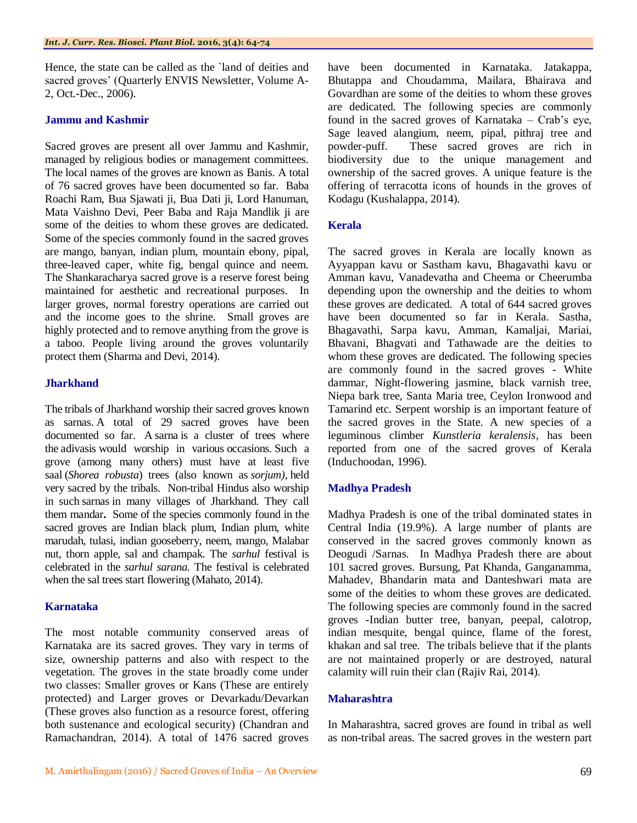Hence, the state can be called as the `land of deities and sacred groves' (Quarterly ENVIS Newsletter, Volume A-2, Oct.-Dec., 2006).

#### **Jammu and Kashmir**

Sacred groves are present all over Jammu and Kashmir, managed by religious bodies or management committees. The local names of the groves are known as Banis. A total of 76 sacred groves have been documented so far. Baba Roachi Ram, Bua Sjawati ji, Bua Dati ji, Lord Hanuman, Mata Vaishno Devi, Peer Baba and Raja Mandlik ji are some of the deities to whom these groves are dedicated. Some of the species commonly found in the sacred groves are mango, banyan, indian plum, mountain ebony, pipal, three-leaved caper, white fig, bengal quince and neem. The Shankaracharya sacred grove is a reserve forest being maintained for aesthetic and recreational purposes. In larger groves, normal forestry operations are carried out and the income goes to the shrine. Small groves are highly protected and to remove anything from the grove is a taboo. People living around the groves voluntarily protect them (Sharma and Devi, 2014).

# **Jharkhand**

The tribals of Jharkhand worship their sacred groves known as sarnas. A total of 29 sacred groves have been documented so far. A sarna is a cluster of trees where the adivasis would worship in various occasions. Such a grove (among many others) must have at least five saal (*Shorea robusta*) trees (also known as *sorjum),* held very sacred by the tribals. Non-tribal Hindus also worship in such sarnas in many villages of Jharkhand. They call them mandar**.** Some of the species commonly found in the sacred groves are Indian black plum, Indian plum, white marudah, tulasi, indian gooseberry, neem, mango, Malabar nut, thorn apple, sal and champak. The *sarhul* festival is celebrated in the *sarhul sarana.* The festival is celebrated when the sal trees start flowering (Mahato, 2014).

# **Karnataka**

The most notable community conserved areas of Karnataka are its sacred groves. They vary in terms of size, ownership patterns and also with respect to the vegetation. The groves in the state broadly come under two classes: Smaller groves or Kans (These are entirely protected) and Larger groves or Devarkadu/Devarkan (These groves also function as a resource forest, offering both sustenance and ecological security) (Chandran and Ramachandran, 2014). A total of 1476 sacred groves

have been documented in Karnataka. Jatakappa, Bhutappa and Choudamma, Mailara, Bhairava and Govardhan are some of the deities to whom these groves are dedicated. The following species are commonly found in the sacred groves of Karnataka – Crab's eye, Sage leaved alangium, neem, pipal, pithraj tree and powder-puff. These sacred groves are rich in biodiversity due to the unique management and ownership of the sacred groves. A unique feature is the offering of terracotta icons of hounds in the groves of Kodagu (Kushalappa, 2014).

#### **Kerala**

The sacred groves in Kerala are locally known as Ayyappan kavu or Sastham kavu, Bhagavathi kavu or Amman kavu, Vanadevatha and Cheema or Cheerumba depending upon the ownership and the deities to whom these groves are dedicated. A total of 644 sacred groves have been documented so far in Kerala. Sastha, Bhagavathi, Sarpa kavu, Amman, Kamaljai, Mariai, Bhavani, Bhagvati and Tathawade are the deities to whom these groves are dedicated. The following species are commonly found in the sacred groves - White dammar, Night-flowering jasmine, black varnish tree, Niepa bark tree, Santa Maria tree, Ceylon Ironwood and Tamarind etc. Serpent worship is an important feature of the sacred groves in the State. A new species of a leguminous climber *Kunstleria keralensis*, has been reported from one of the sacred groves of Kerala (Induchoodan, 1996).

# **Madhya Pradesh**

Madhya Pradesh is one of the tribal dominated states in Central India (19.9%). A large number of plants are conserved in the sacred groves commonly known as Deogudi /Sarnas.In Madhya Pradesh there are about 101 sacred groves. Bursung, Pat Khanda, Ganganamma, Mahadev, Bhandarin mata and Danteshwari mata are some of the deities to whom these groves are dedicated. The following species are commonly found in the sacred groves -Indian butter tree, banyan, peepal, calotrop, indian mesquite, bengal quince, flame of the forest, khakan and sal tree. The tribals believe that if the plants are not maintained properly or are destroyed, natural calamity will ruin their clan (Rajiv Rai, 2014).

#### **Maharashtra**

In Maharashtra, sacred groves are found in tribal as well as non-tribal areas. The sacred groves in the western part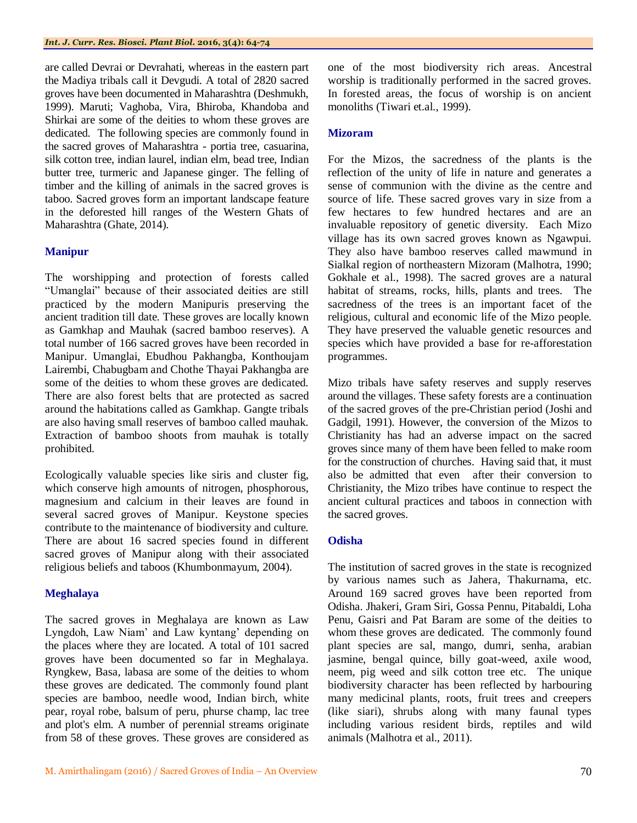are called Devrai or Devrahati, whereas in the eastern part the Madiya tribals call it Devgudi. A total of 2820 sacred groves have been documented in Maharashtra (Deshmukh, 1999). Maruti; Vaghoba, Vira, Bhiroba, Khandoba and Shirkai are some of the deities to whom these groves are dedicated. The following species are commonly found in the sacred groves of Maharashtra - portia tree, casuarina, silk cotton tree, indian laurel, indian elm, bead tree, Indian butter tree, turmeric and Japanese ginger. The felling of timber and the killing of animals in the sacred groves is taboo. Sacred groves form an important landscape feature in the deforested hill ranges of the Western Ghats of Maharashtra (Ghate, 2014).

# **Manipur**

The worshipping and protection of forests called "Umanglai" because of their associated deities are still practiced by the modern Manipuris preserving the ancient tradition till date. These groves are locally known as Gamkhap and Mauhak (sacred bamboo reserves). A total number of 166 sacred groves have been recorded in Manipur. Umanglai, Ebudhou Pakhangba, Konthoujam Lairembi, Chabugbam and Chothe Thayai Pakhangba are some of the deities to whom these groves are dedicated. There are also forest belts that are protected as sacred around the habitations called as Gamkhap. Gangte tribals are also having small reserves of bamboo called mauhak. Extraction of bamboo shoots from mauhak is totally prohibited.

Ecologically valuable species like siris and cluster fig, which conserve high amounts of nitrogen, phosphorous, magnesium and calcium in their leaves are found in several sacred groves of Manipur. Keystone species contribute to the maintenance of biodiversity and culture. There are about 16 sacred species found in different sacred groves of Manipur along with their associated religious beliefs and taboos (Khumbonmayum, 2004).

# **Meghalaya**

The sacred groves in Meghalaya are known as Law Lyngdoh, Law Niam" and Law kyntang" depending on the places where they are located. A total of 101 sacred groves have been documented so far in Meghalaya. Ryngkew, Basa, labasa are some of the deities to whom these groves are dedicated. The commonly found plant species are bamboo, needle wood*,* Indian birch, white pear, royal robe, balsum of peru*,* phurse champ*,* lac tree and plot's elm. A number of perennial streams originate from 58 of these groves. These groves are considered as

one of the most biodiversity rich areas. Ancestral worship is traditionally performed in the sacred groves. In forested areas, the focus of worship is on ancient monoliths (Tiwari et.al., 1999).

# **Mizoram**

For the Mizos, the sacredness of the plants is the reflection of the unity of life in nature and generates a sense of communion with the divine as the centre and source of life. These sacred groves vary in size from a few hectares to few hundred hectares and are an invaluable repository of genetic diversity. Each Mizo village has its own sacred groves known as Ngawpui. They also have bamboo reserves called mawmund in Sialkal region of northeastern Mizoram (Malhotra, 1990; Gokhale et al., 1998). The sacred groves are a natural habitat of streams, rocks, hills, plants and trees. The sacredness of the trees is an important facet of the religious, cultural and economic life of the Mizo people. They have preserved the valuable genetic resources and species which have provided a base for re-afforestation programmes.

Mizo tribals have safety reserves and supply reserves around the villages. These safety forests are a continuation of the sacred groves of the pre-Christian period (Joshi and Gadgil, 1991). However, the conversion of the Mizos to Christianity has had an adverse impact on the sacred groves since many of them have been felled to make room for the construction of churches. Having said that, it must also be admitted that even after their conversion to Christianity, the Mizo tribes have continue to respect the ancient cultural practices and taboos in connection with the sacred groves.

# **Odisha**

The institution of sacred groves in the state is recognized by various names such as Jahera, Thakurnama, etc. Around 169 sacred groves have been reported from Odisha. Jhakeri, Gram Siri, Gossa Pennu, Pitabaldi, Loha Penu, Gaisri and Pat Baram are some of the deities to whom these groves are dedicated. The commonly found plant species are sal, mango, dumri, senha, arabian jasmine, bengal quince, billy goat-weed, axile wood, neem, pig weed and silk cotton tree etc. The unique biodiversity character has been reflected by harbouring many medicinal plants, roots, fruit trees and creepers (like siari), shrubs along with many faunal types including various resident birds, reptiles and wild animals (Malhotra et al., 2011).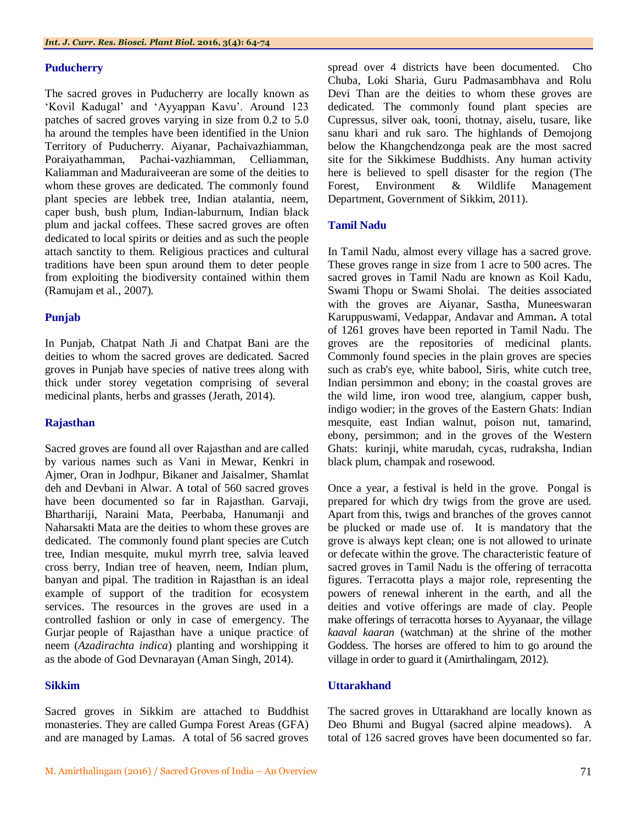#### **Puducherry**

The sacred groves in Puducherry are locally known as "Kovil Kadugal" and "Ayyappan Kavu". Around 123 patches of sacred groves varying in size from 0.2 to 5.0 ha around the temples have been identified in the Union Territory of Puducherry. Aiyanar, Pachaivazhiamman, Poraiyathamman, Pachai-vazhiamman, Celliamman, Kaliamman and Maduraiveeran are some of the deities to whom these groves are dedicated. The commonly found plant species are lebbek tree, Indian atalantia, neem, caper bush, bush plum, Indian-laburnum, Indian black plum and jackal coffees. These sacred groves are often dedicated to local spirits or deities and as such the people attach sanctity to them. Religious practices and cultural traditions have been spun around them to deter people from exploiting the biodiversity contained within them (Ramujam et al., 2007).

#### **Punjab**

In Punjab, Chatpat Nath Ji and Chatpat Bani are the deities to whom the sacred groves are dedicated. Sacred groves in Punjab have species of native trees along with thick under storey vegetation comprising of several medicinal plants, herbs and grasses (Jerath, 2014).

#### **Rajasthan**

Sacred groves are found all over Rajasthan and are called by various names such as Vani in Mewar, Kenkri in Ajmer, Oran in Jodhpur, Bikaner and Jaisalmer, Shamlat deh and Devbani in Alwar. A total of 560 sacred groves have been documented so far in Rajasthan. Garvaji, Bharthariji, Naraini Mata, Peerbaba, Hanumanji and Naharsakti Mata are the deities to whom these groves are dedicated. The commonly found plant species are Cutch tree, Indian mesquite, mukul myrrh tree, salvia leaved cross berry, Indian tree of heaven, neem, Indian plum, banyan and pipal. The tradition in Rajasthan is an ideal example of support of the tradition for ecosystem services. The resources in the groves are used in a controlled fashion or only in case of emergency. The Gurjar people of Rajasthan have a unique practice of neem (*Azadirachta indica*) planting and worshipping it as the abode of God Devnarayan (Aman Singh, 2014).

# **Sikkim**

Sacred groves in Sikkim are attached to Buddhist monasteries. They are called Gumpa Forest Areas (GFA) and are managed by Lamas. A total of 56 sacred groves

spread over 4 districts have been documented. Cho Chuba, Loki Sharia, Guru Padmasambhava and Rolu Devi Than are the deities to whom these groves are dedicated. The commonly found plant species are Cupressus, silver oak, tooni, thotnay, aiselu, tusare, like sanu khari and ruk saro. The highlands of Demojong below the Khangchendzonga peak are the most sacred site for the Sikkimese Buddhists. Any human activity here is believed to spell disaster for the region (The Forest, Environment & Wildlife Management Department, Government of Sikkim, 2011).

#### **Tamil Nadu**

In Tamil Nadu, almost every village has a sacred grove. These groves range in size from 1 acre to 500 acres. The sacred groves in Tamil Nadu are known as Koil Kadu, Swami Thopu or Swami Sholai. The deities associated with the groves are Aiyanar, Sastha, Muneeswaran Karuppuswami, Vedappar, Andavar and Amman**.** A total of 1261 groves have been reported in Tamil Nadu. The groves are the repositories of medicinal plants. Commonly found species in the plain groves are species such as crab's eye, white babool, Siris, white cutch tree, Indian persimmon and ebony; in the coastal groves are the wild lime, iron wood tree, alangium, capper bush, indigo wodier; in the groves of the Eastern Ghats: Indian mesquite, east Indian walnut, poison nut, tamarind, ebony, persimmon; and in the groves of the Western Ghats: kurinji, white marudah, cycas, rudraksha, Indian black plum, champak and rosewood.

Once a year, a festival is held in the grove. Pongal is prepared for which dry twigs from the grove are used. Apart from this, twigs and branches of the groves cannot be plucked or made use of. It is mandatory that the grove is always kept clean; one is not allowed to urinate or defecate within the grove. The characteristic feature of sacred groves in Tamil Nadu is the offering of terracotta figures. Terracotta plays a major role, representing the powers of renewal inherent in the earth, and all the deities and votive offerings are made of clay. People make offerings of terracotta horses to Ayyanaar, the village *kaaval kaaran* (watchman) at the shrine of the mother Goddess. The horses are offered to him to go around the village in order to guard it (Amirthalingam, 2012).

# **Uttarakhand**

The sacred groves in Uttarakhand are locally known as Deo Bhumi and Bugyal (sacred alpine meadows). A total of 126 sacred groves have been documented so far.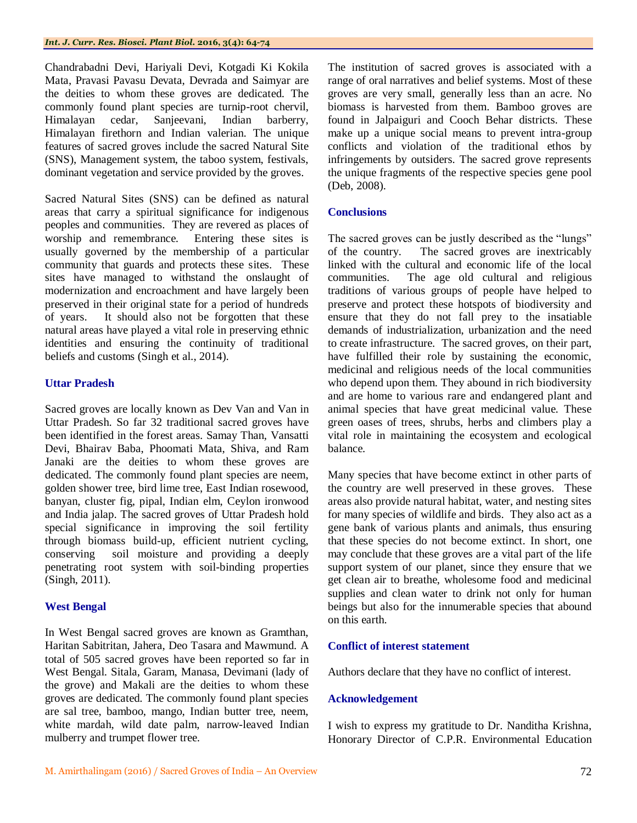Chandrabadni Devi, Hariyali Devi, Kotgadi Ki Kokila Mata, Pravasi Pavasu Devata, Devrada and Saimyar are the deities to whom these groves are dedicated. The commonly found plant species are turnip-root chervil, Himalayan cedar, Sanjeevani, Indian barberry, Himalayan firethorn and Indian valerian. The unique features of sacred groves include the sacred Natural Site (SNS), Management system, the taboo system, festivals, dominant vegetation and service provided by the groves.

Sacred Natural Sites (SNS) can be defined as natural areas that carry a spiritual significance for indigenous peoples and communities. They are revered as places of worship and remembrance. Entering these sites is usually governed by the membership of a particular community that guards and protects these sites. These sites have managed to withstand the onslaught of modernization and encroachment and have largely been preserved in their original state for a period of hundreds of years. It should also not be forgotten that these natural areas have played a vital role in preserving ethnic identities and ensuring the continuity of traditional beliefs and customs (Singh et al., 2014).

# **Uttar Pradesh**

Sacred groves are locally known as Dev Van and Van in Uttar Pradesh. So far 32 traditional sacred groves have been identified in the forest areas. Samay Than, Vansatti Devi, Bhairav Baba, Phoomati Mata, Shiva, and Ram Janaki are the deities to whom these groves are dedicated. The commonly found plant species are neem, golden shower tree, bird lime tree, East Indian rosewood, banyan, cluster fig, pipal, Indian elm, Ceylon ironwood and India jalap. The sacred groves of Uttar Pradesh hold special significance in improving the soil fertility through biomass build-up, efficient nutrient cycling, conserving soil moisture and providing a deeply penetrating root system with soil-binding properties (Singh, 2011).

# **West Bengal**

In West Bengal sacred groves are known as Gramthan, Haritan Sabitritan, Jahera, Deo Tasara and Mawmund. A total of 505 sacred groves have been reported so far in West Bengal. Sitala, Garam, Manasa, Devimani (lady of the grove) and Makali are the deities to whom these groves are dedicated. The commonly found plant species are sal tree, bamboo, mango, Indian butter tree, neem, white mardah, wild date palm, narrow-leaved Indian mulberry and trumpet flower tree.

The institution of sacred groves is associated with a range of oral narratives and belief systems. Most of these groves are very small, generally less than an acre. No biomass is harvested from them. Bamboo groves are found in Jalpaiguri and Cooch Behar districts. These make up a unique social means to prevent intra-group conflicts and violation of the traditional ethos by infringements by outsiders. The sacred grove represents the unique fragments of the respective species gene pool (Deb, 2008).

# **Conclusions**

The sacred groves can be justly described as the "lungs" of the country. The sacred groves are inextricably linked with the cultural and economic life of the local communities. The age old cultural and religious traditions of various groups of people have helped to preserve and protect these hotspots of biodiversity and ensure that they do not fall prey to the insatiable demands of industrialization, urbanization and the need to create infrastructure. The sacred groves, on their part, have fulfilled their role by sustaining the economic, medicinal and religious needs of the local communities who depend upon them. They abound in rich biodiversity and are home to various rare and endangered plant and animal species that have great medicinal value. These green oases of trees, shrubs, herbs and climbers play a vital role in maintaining the ecosystem and ecological balance.

Many species that have become extinct in other parts of the country are well preserved in these groves. These areas also provide natural habitat, water, and nesting sites for many species of wildlife and birds. They also act as a gene bank of various plants and animals, thus ensuring that these species do not become extinct. In short, one may conclude that these groves are a vital part of the life support system of our planet, since they ensure that we get clean air to breathe, wholesome food and medicinal supplies and clean water to drink not only for human beings but also for the innumerable species that abound on this earth.

# **Conflict of interest statement**

Authors declare that they have no conflict of interest.

# **Acknowledgement**

I wish to express my gratitude to Dr. Nanditha Krishna, Honorary Director of C.P.R. Environmental Education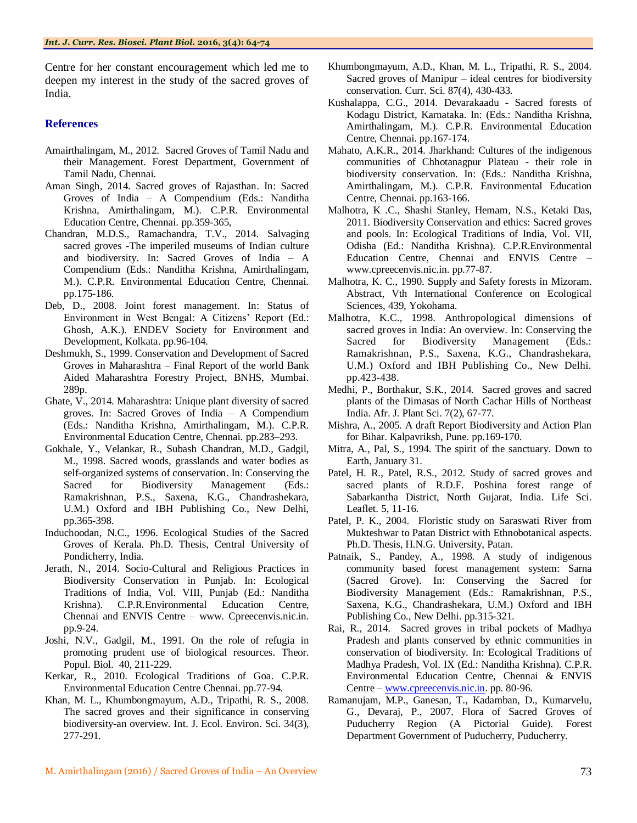Centre for her constant encouragement which led me to deepen my interest in the study of the sacred groves of India.

#### **References**

- Amairthalingam, M., 2012. Sacred Groves of Tamil Nadu and their Management. Forest Department, Government of Tamil Nadu, Chennai.
- Aman Singh, 2014. Sacred groves of Rajasthan. In: Sacred Groves of India – A Compendium (Eds.: Nanditha Krishna, Amirthalingam, M.). C.P.R. Environmental Education Centre, Chennai. pp.359-365,
- Chandran, M.D.S., Ramachandra, T.V., 2014. Salvaging sacred groves -The imperiled museums of Indian culture and biodiversity. In: Sacred Groves of India – A Compendium (Eds.: Nanditha Krishna, Amirthalingam, M.). C.P.R. Environmental Education Centre, Chennai. pp.175-186.
- Deb, D., 2008. Joint forest management. In: Status of Environment in West Bengal: A Citizens' Report (Ed.: Ghosh, A.K.). ENDEV Society for Environment and Development, Kolkata. pp.96-104.
- Deshmukh, S., 1999. Conservation and Development of Sacred Groves in Maharashtra – Final Report of the world Bank Aided Maharashtra Forestry Project, BNHS, Mumbai. 289p.
- Ghate, V., 2014. Maharashtra: Unique plant diversity of sacred groves. In: Sacred Groves of India – A Compendium (Eds.: Nanditha Krishna, Amirthalingam, M.). C.P.R. Environmental Education Centre, Chennai. pp.283–293.
- Gokhale, Y., Velankar, R., Subash Chandran, M.D., Gadgil, M., 1998. Sacred woods, grasslands and water bodies as self-organized systems of conservation. In: Conserving the Sacred for Biodiversity Management (Eds.: Ramakrishnan, P.S., Saxena, K.G., Chandrashekara, U.M.) Oxford and IBH Publishing Co., New Delhi, pp.365-398.
- Induchoodan, N.C., 1996. Ecological Studies of the Sacred Groves of Kerala. Ph.D. Thesis, Central University of Pondicherry, India.
- Jerath, N., 2014. Socio-Cultural and Religious Practices in Biodiversity Conservation in Punjab. In: Ecological Traditions of India, Vol. VIII, Punjab (Ed.: Nanditha Krishna). C.P.R.Environmental Education Centre, Chennai and ENVIS Centre – www. Cpreecenvis.nic.in. pp.9-24.
- Joshi, N.V., Gadgil, M., 1991. On the role of refugia in promoting prudent use of biological resources. Theor. Popul. Biol. 40, 211-229.
- Kerkar, R., 2010. Ecological Traditions of Goa. C.P.R. Environmental Education Centre Chennai. pp.77-94.
- Khan, M. L., Khumbongmayum, A.D., Tripathi, R. S., 2008. The sacred groves and their significance in conserving biodiversity-an overview. Int. J. Ecol. Environ. Sci. 34(3), 277-291.
- Khumbongmayum, A.D., Khan, M. L., Tripathi, R. S., 2004. Sacred groves of Manipur – ideal centres for biodiversity conservation. Curr. Sci. 87(4), 430-433.
- Kushalappa, C.G., 2014. Devarakaadu Sacred forests of Kodagu District, Karnataka. In: (Eds.: Nanditha Krishna, Amirthalingam, M.). C.P.R. Environmental Education Centre, Chennai. pp.167-174.
- Mahato, A.K.R., 2014. Jharkhand: Cultures of the indigenous communities of Chhotanagpur Plateau - their role in biodiversity conservation. In: (Eds.: Nanditha Krishna, Amirthalingam, M.). C.P.R. Environmental Education Centre, Chennai. pp.163-166.
- Malhotra, K .C., Shashi Stanley, Hemam, N.S., Ketaki Das, 2011. Biodiversity Conservation and ethics: Sacred groves and pools. In: Ecological Traditions of India, Vol. VII, Odisha (Ed.: Nanditha Krishna). C.P.R.Environmental Education Centre, Chennai and ENVIS Centre – www.cpreecenvis.nic.in. pp.77-87.
- Malhotra, K. C., 1990. Supply and Safety forests in Mizoram. Abstract, Vth International Conference on Ecological Sciences, 439, Yokohama.
- Malhotra, K.C., 1998. Anthropological dimensions of sacred groves in India: An overview. In: Conserving the Sacred for Biodiversity Management (Eds.: Ramakrishnan, P.S., Saxena, K.G., Chandrashekara, U.M.) Oxford and IBH Publishing Co., New Delhi. pp.423-438.
- Medhi, P., Borthakur, S.K., 2014. Sacred groves and sacred plants of the Dimasas of North Cachar Hills of Northeast India. Afr. J. Plant Sci. 7(2), 67-77.
- Mishra, A., 2005. A draft Report Biodiversity and Action Plan for Bihar. Kalpavriksh, Pune. pp.169-170.
- Mitra, A., Pal, S., 1994. The spirit of the sanctuary. Down to Earth, January 31.
- Patel, H. R., Patel, R.S., 2012. Study of sacred groves and sacred plants of R.D.F. Poshina forest range of Sabarkantha District, North Gujarat, India. Life Sci. Leaflet. 5, 11-16.
- Patel, P. K., 2004. Floristic study on Saraswati River from Mukteshwar to Patan District with Ethnobotanical aspects. Ph.D. Thesis, H.N.G. University, Patan.
- Patnaik, S., Pandey, A., 1998. A study of indigenous community based forest management system: Sarna (Sacred Grove). In: Conserving the Sacred for Biodiversity Management (Eds.: Ramakrishnan, P.S., Saxena, K.G., Chandrashekara, U.M.) Oxford and IBH Publishing Co., New Delhi. pp.315-321.
- Rai, R., 2014. Sacred groves in tribal pockets of Madhya Pradesh and plants conserved by ethnic communities in conservation of biodiversity. In: Ecological Traditions of Madhya Pradesh, Vol. IX (Ed.: Nanditha Krishna). C.P.R. Environmental Education Centre, Chennai & ENVIS Centre – [www.cpreecenvis.nic.in.](http://www.cpreecenvis.nic.in/) pp. 80-96.
- Ramanujam, M.P., Ganesan, T., Kadamban, D., Kumarvelu, G., Devaraj, P., 2007. Flora of Sacred Groves of Puducherry Region (A Pictorial Guide). Forest Department Government of Puducherry, Puducherry.